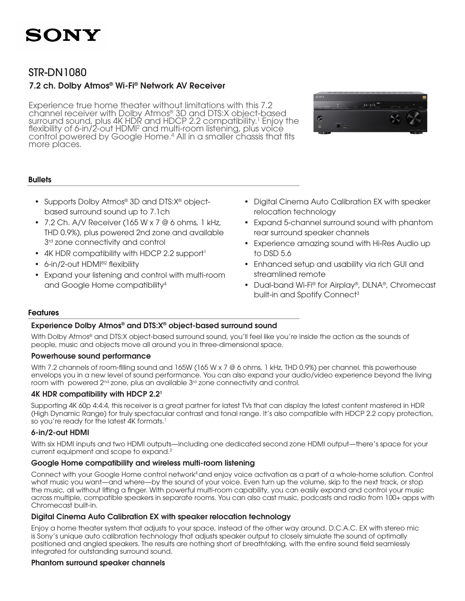

## STR-DN1080

### 7.2 ch. Dolby Atmos® Wi-Fi® Network AV Receiver

Experience true home theater without limitations with this 7.2<br>channel receiver with Dolby Atmos® 3D and DTS:X object-based channel receiver with Dolby Atmos® 3D and DTS:X object-based<br>surround sound, plus 4K HDR and HDCP 2.2 compatibility.<sup>1</sup> Enjoy t surround sound, plus 4K HDR and HDCP 2.2 compatibility.' Enjoy the<br>flexibility of 6-in/2-out HDMI<sup>2</sup> and multi-room listening, plus voice flexibility of 6-in/2-out HDMI<sup>2</sup> and multi-room listening, plús voicé<br>control powered by Google Home.<sup>4</sup> All in a smaller chassis that fits more places.



### **Bullets**

- Supports Dolby Atmos<sup>®</sup> 3D and DTS:X<sup>®</sup> objectbased surround sound up to 7.1ch
- 7.2 Ch. A/V Receiver (165 W  $\times$  7 @ 6 ohms, 1 kHz, THD 0.9%), plus powered 2nd zone and available 3<sup>rd</sup> zone connectivity and control
- 4K HDR compatibility with HDCP 2.2 support<sup>1</sup>
- 6-in/2-out HDMI®<sup>2</sup> flexibility
- Expand your listening and control with multi-room and Google Home compatibility4
- Digital Cinema Auto Calibration EX with speaker relocation technology
- Expand 5-channel surround sound with phantom rear surround speaker channels
- Experience amazing sound with Hi-Res Audio up to DSD 5.6
- Enhanced setup and usability via rich GUI and streamlined remote
- Dual-band Wi-Fi® for Airplay®, DLNA®, Chromecast built-in and Spotify Connect<sup>3</sup>

### Features

### Experience Dolby Atmos® and DTS:X® object-based surround sound

With Dolby Atmos® and DTS:X object-based surround sound, you'll feel like you're inside the action as the sounds of people, music and objects move all around you in three-dimensional space.

### Powerhouse sound performance

With 7.2 channels of room-filling sound and 165W (165 W x 7 @ 6 ohms, 1 kHz, THD 0.9%) per channel, this powerhouse envelops you in a new level of sound performance. You can also expand your audio/video experience beyond the living room with powered  $2^{nd}$  zone, plus an available  $3^{rd}$  zone connectivity and control.

### 4K HDR compatibility with HDCP 2.21

Supporting 4K 60p 4:4:4, this receiver is a great partner for latest TVs that can display the latest content mastered in HDR (High Dynamic Range) for truly spectacular contrast and tonal range. It's also compatible with HDCP 2.2 copy protection, so you're ready for the latest 4K formats.<sup>1</sup>

### 6-in/2-out HDMI

With six HDMI inputs and two HDMI outputs—including one dedicated second zone HDMI output—there's space for your current equipment and scope to expand.2

### Google Home compatibility and wireless multi-room listening

Connect with your Google Home control network4 and enjoy voice activation as a part of a whole-home solution. Control what music you want—and where—by the sound of your voice. Even turn up the volume, skip to the next track, or stop the music, all without lifting a finger. With powerful multi-room capability, you can easily expand and control your music across multiple, compatible speakers in separate rooms. You can also cast music, podcasts and radio from 100+ apps with Chromecast built-in.

### Digital Cinema Auto Calibration EX with speaker relocation technology

Enjoy a home theater system that adjusts to your space, instead of the other way around. D.C.A.C. EX with stereo mic is Sony's unique auto calibration technology that adjusts speaker output to closely simulate the sound of optimally positioned and angled speakers. The results are nothing short of breathtaking, with the entire sound field seamlessly integrated for outstanding surround sound.

### Phantom surround speaker channels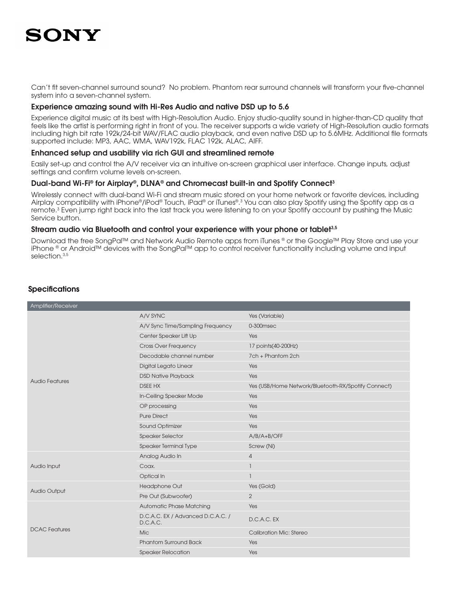Can't fit seven-channel surround sound? No problem. Phantom rear surround channels will transform your five-channel system into a seven-channel system.

### Experience amazing sound with Hi-Res Audio and native DSD up to 5.6

Experience digital music at its best with High-Resolution Audio. Enjoy studio-quality sound in higher-than-CD quality that feels like the artist is performing right in front of you. The receiver supports a wide variety of High-Resolution audio formats including high bit rate 192k/24-bit WAV/FLAC audio playback, and even native DSD up to 5.6MHz. Additional file formats supported include: MP3, AAC, WMA, WAV192k, FLAC 192k, ALAC, AIFF.

### Enhanced setup and usability via rich GUI and streamlined remote

Easily set-up and control the A/V receiver via an intuitive on-screen graphical user interface. Change inputs, adjust settings and confirm volume levels on-screen.

### Dual-band Wi-Fi® for Airplay®, DLNA® and Chromecast built-in and Spotify Connect<sup>3</sup>

Wirelessly connect with dual-band Wi-Fi and stream music stored on your home network or favorite devices, including Airplay compatibility with iPhone®/iPod® Touch, iPad® or iTunes®.3 You can also play Spotify using the Spotify app as a remote.3 Even jump right back into the last track you were listening to on your Spotify account by pushing the Music Service button.

### Stream audio via Bluetooth and control your experience with your phone or tablet<sup>3,5</sup>

Download the free SongPal™ and Network Audio Remote apps from iTunes ® or the Google™ Play Store and use your iPhone ® or Android™ devices with the SongPal™ app to control receiver functionality including volume and input selection.<sup>3,5</sup>

| Amplifier/Receiver    |                                               |                                                     |
|-----------------------|-----------------------------------------------|-----------------------------------------------------|
| <b>Audio Features</b> | A/V SYNC                                      | Yes (Variable)                                      |
|                       | A/V Sync Time/Sampling Frequency              | 0-300msec                                           |
|                       | Center Speaker Lift Up                        | Yes                                                 |
|                       | <b>Cross Over Frequency</b>                   | 17 points(40-200Hz)                                 |
|                       | Decodable channel number                      | 7ch + Phantom 2ch                                   |
|                       | Digital Legato Linear                         | Yes                                                 |
|                       | <b>DSD Native Playback</b>                    | Yes                                                 |
|                       | <b>DSEE HX</b>                                | Yes (USB/Home Network/Bluetooth-RX/Spotify Connect) |
|                       | In-Ceiling Speaker Mode                       | Yes                                                 |
|                       | OP processing                                 | Yes                                                 |
|                       | <b>Pure Direct</b>                            | Yes                                                 |
|                       | Sound Optimizer                               | Yes                                                 |
|                       | <b>Speaker Selector</b>                       | $A/B/A+B/OFF$                                       |
|                       | Speaker Terminal Type                         | Screw (Ni)                                          |
|                       | Analog Audio In                               | $\overline{4}$                                      |
| Audio Input           | Coax.                                         | -1                                                  |
|                       | Optical In                                    |                                                     |
| Audio Output          | Headphone Out                                 | Yes (Gold)                                          |
|                       | Pre Out (Subwoofer)                           | $\overline{2}$                                      |
| <b>DCAC</b> Features  | <b>Automatic Phase Matching</b>               | Yes                                                 |
|                       | D.C.A.C. EX / Advanced D.C.A.C. /<br>D.C.A.C. | D.C.A.C. EX                                         |
|                       | <b>Mic</b>                                    | <b>Calibration Mic: Stereo</b>                      |
|                       | <b>Phantom Surround Back</b>                  | Yes                                                 |
|                       | <b>Speaker Relocation</b>                     | Yes                                                 |

### **Specifications**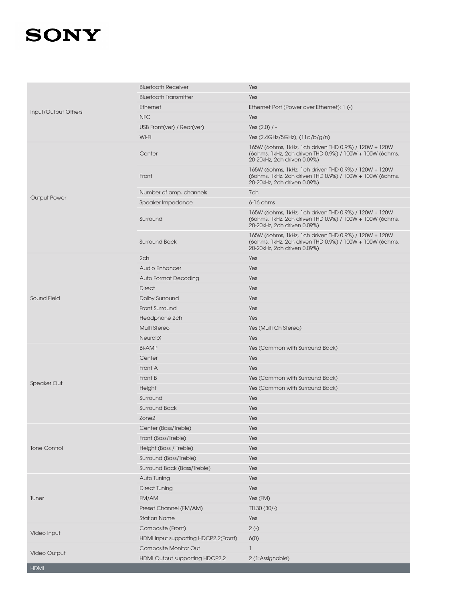| Input/Output Others | <b>Bluetooth Receiver</b>            | Yes                                                                                                                                              |
|---------------------|--------------------------------------|--------------------------------------------------------------------------------------------------------------------------------------------------|
|                     | <b>Bluetooth Transmitter</b>         | Yes                                                                                                                                              |
|                     | Ethernet                             | Ethernet Port (Power over Ethernet): 1 (-)                                                                                                       |
|                     | <b>NFC</b>                           | Yes                                                                                                                                              |
|                     | USB Front(ver) / Rear(ver)           | Yes $(2.0)$ / -                                                                                                                                  |
| <b>Output Power</b> | Wi-Fi                                | Yes (2.4GHz/5GHz), (11a/b/g/n)                                                                                                                   |
|                     | Center                               | 165W (60hms, 1kHz, 1ch driven THD 0.9%) / 120W + 120W<br>(60hms, 1kHz, 2ch driven THD 0.9%) / 100W + 100W (60hms,<br>20-20kHz, 2ch driven 0.09%) |
|                     | Front                                | 165W (60hms, 1kHz, 1ch driven THD 0.9%) / 120W + 120W<br>(60hms, 1kHz, 2ch driven THD 0.9%) / 100W + 100W (60hms,<br>20-20kHz, 2ch driven 0.09%) |
|                     | Number of amp. channels              | 7ch                                                                                                                                              |
|                     | Speaker Impedance                    | 6-16 ohms                                                                                                                                        |
|                     | Surround                             | 165W (60hms, 1kHz, 1ch driven THD 0.9%) / 120W + 120W<br>(60hms, 1kHz, 2ch driven THD 0.9%) / 100W + 100W (60hms,<br>20-20kHz, 2ch driven 0.09%) |
|                     | Surround Back                        | 165W (60hms, 1kHz, 1ch driven THD 0.9%) / 120W + 120W<br>(60hms, 1kHz, 2ch driven THD 0.9%) / 100W + 100W (60hms,<br>20-20kHz, 2ch driven 0.09%) |
|                     | 2ch                                  | Yes                                                                                                                                              |
|                     | Audio Enhancer                       | Yes                                                                                                                                              |
|                     | <b>Auto Format Decoding</b>          | Yes                                                                                                                                              |
|                     | <b>Direct</b>                        | Yes                                                                                                                                              |
| <b>Sound Field</b>  | Dolby Surround                       | Yes                                                                                                                                              |
|                     | Front Surround                       | Yes                                                                                                                                              |
|                     | Headphone 2ch                        | Yes                                                                                                                                              |
|                     | Multi Stereo                         | Yes (Multi Ch Stereo)                                                                                                                            |
|                     | Neural:X                             | Yes                                                                                                                                              |
|                     | <b>Bi-AMP</b>                        | Yes (Common with Surround Back)                                                                                                                  |
|                     | Center                               | Yes                                                                                                                                              |
|                     | Front A                              | Yes                                                                                                                                              |
| <b>Speaker Out</b>  | Front B                              | Yes (Common with Surround Back)                                                                                                                  |
|                     | Height                               | Yes (Common with Surround Back)                                                                                                                  |
|                     | Surround                             | Yes                                                                                                                                              |
|                     | <b>Surround Back</b>                 | Yes                                                                                                                                              |
|                     | Zone <sub>2</sub>                    | Yes                                                                                                                                              |
|                     | Center (Bass/Treble)                 | Yes                                                                                                                                              |
|                     | Front (Bass/Treble)                  | Yes                                                                                                                                              |
| <b>Tone Control</b> | Height (Bass / Treble)               | Yes                                                                                                                                              |
|                     | Surround (Bass/Treble)               | Yes                                                                                                                                              |
|                     | Surround Back (Bass/Treble)          | Yes                                                                                                                                              |
| Tuner               | Auto Tuning                          | Yes                                                                                                                                              |
|                     | <b>Direct Tuning</b>                 | Yes                                                                                                                                              |
|                     | FM/AM                                | Yes (FM)                                                                                                                                         |
|                     | Preset Channel (FM/AM)               | TTL30 (30/-)                                                                                                                                     |
|                     | <b>Station Name</b>                  | Yes                                                                                                                                              |
| Video Input         | Composite (Front)                    | $2(-)$                                                                                                                                           |
|                     | HDMI Input supporting HDCP2.2(Front) | 6(0)                                                                                                                                             |
| Video Output        | Composite Monitor Out                | ı                                                                                                                                                |
| HDMI                | HDMI Output supporting HDCP2.2       | 2 (1:Assignable)                                                                                                                                 |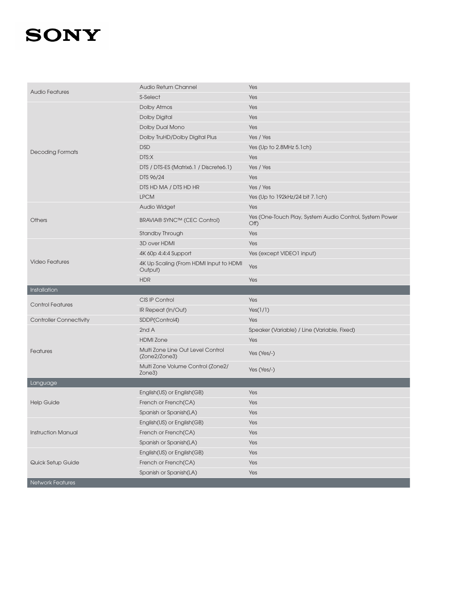| <b>Audio Features</b>          | Audio Return Channel                               | Yes                                                             |
|--------------------------------|----------------------------------------------------|-----------------------------------------------------------------|
|                                | S-Select                                           | Yes                                                             |
|                                | Dolby Atmos                                        | Yes                                                             |
|                                | <b>Dolby Digital</b>                               | Yes                                                             |
|                                | Dolby Dual Mono                                    | Yes                                                             |
| <b>Decoding Formats</b>        | Dolby TruHD/Dolby Digital Plus                     | Yes / Yes                                                       |
|                                | <b>DSD</b>                                         | Yes (Up to 2.8MHz 5.1ch)                                        |
|                                | DTS:X                                              | Yes                                                             |
|                                | DTS / DTS-ES (Matrix6.1 / Discrete6.1)             | Yes / Yes                                                       |
|                                | DTS 96/24                                          | Yes                                                             |
|                                | DTS HD MA / DTS HD HR                              | Yes / Yes                                                       |
|                                | <b>LPCM</b>                                        | Yes (Up to 192kHz/24 bit 7.1ch)                                 |
|                                | Audio Widget                                       | Yes                                                             |
| <b>Others</b>                  | BRAVIA® SYNC™ (CEC Control)                        | Yes (One-Touch Play, System Audio Control, System Power<br>Off) |
|                                | Standby Through                                    | Yes                                                             |
|                                | 3D over HDMI                                       | Yes                                                             |
|                                | 4K 60p 4:4:4 Support                               | Yes (except VIDEO1 input)                                       |
| <b>Video Features</b>          | 4K Up Scaling (From HDMI Input to HDMI<br>Output)  | Yes                                                             |
|                                | <b>HDR</b>                                         | Yes                                                             |
|                                |                                                    |                                                                 |
| Installation                   |                                                    |                                                                 |
|                                | CIS IP Control                                     | Yes                                                             |
| <b>Control Features</b>        | IR Repeat (In/Out)                                 | Yes(1/1)                                                        |
| <b>Controller Connectivity</b> | SDDP(Control4)                                     | Yes                                                             |
|                                | 2nd A                                              | Speaker (Variable) / Line (Variable, Fixed)                     |
|                                | <b>HDMI</b> Zone                                   | Yes                                                             |
| Features                       | Multi Zone Line Out Level Control<br>(Zone2/Zone3) | Yes (Yes/-)                                                     |
|                                | Multi Zone Volume Control (Zone2/<br>Zone3)        | Yes (Yes/-)                                                     |
| Language                       |                                                    |                                                                 |
|                                | English(US) or English(GB)                         | Yes                                                             |
| <b>Help Guide</b>              | French or French(CA)                               | Yes                                                             |
|                                | Spanish or Spanish(LA)                             | Yes                                                             |
|                                | English(US) or English(GB)                         | Yes                                                             |
| <b>Instruction Manual</b>      | French or French(CA)                               | Yes                                                             |
|                                | Spanish or Spanish(LA)                             | Yes                                                             |
|                                | English(US) or English(GB)                         | Yes                                                             |
| Quick Setup Guide              | French or French(CA)                               | Yes                                                             |
|                                | Spanish or Spanish(LA)                             | Yes                                                             |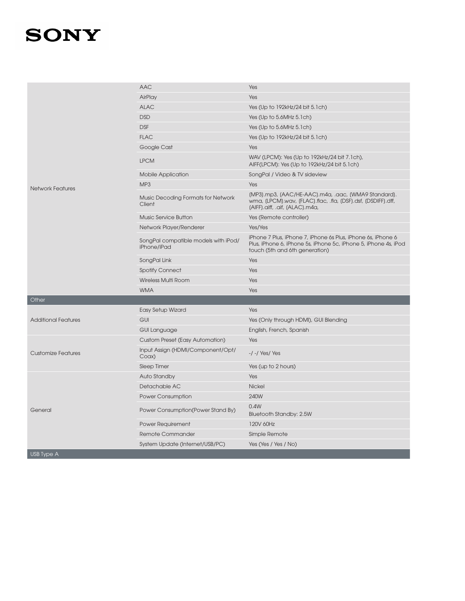|                            | <b>AAC</b>                                          | Yes                                                                                                                                                               |
|----------------------------|-----------------------------------------------------|-------------------------------------------------------------------------------------------------------------------------------------------------------------------|
|                            | AirPlay                                             | Yes                                                                                                                                                               |
|                            | <b>ALAC</b>                                         | Yes (Up to 192kHz/24 bit 5.1ch)                                                                                                                                   |
|                            | <b>DSD</b>                                          | Yes (Up to 5.6MHz 5.1ch)                                                                                                                                          |
|                            | <b>DSF</b>                                          | Yes (Up to 5.6MHz 5.1ch)                                                                                                                                          |
|                            | <b>FLAC</b>                                         | Yes (Up to 192kHz/24 bit 5.1ch)                                                                                                                                   |
|                            | Google Cast                                         | Yes                                                                                                                                                               |
|                            | <b>LPCM</b>                                         | WAV (LPCM): Yes (Up to 192kHz/24 bit 7.1ch),<br>AIFF(LPCM): Yes (Up to 192kHz/24 bit 5.1ch)                                                                       |
|                            | <b>Mobile Application</b>                           | SongPal / Video & TV sideview                                                                                                                                     |
| <b>Network Features</b>    | MP <sub>3</sub>                                     | Yes                                                                                                                                                               |
|                            | Music Decoding Formats for Network<br>Client        | (MP3).mp3, (AAC/HE-AAC).m4a, .aac, (WMA9 Standard).<br>wma, (LPCM).wav, (FLAC).flac, .fla, (DSF).dsf, (DSDIFF).dff,<br>(AIFF).aiff, .aif, (ALAC).m4a,             |
|                            | Music Service Button                                | Yes (Remote controller)                                                                                                                                           |
|                            | Network Player/Renderer                             | Yes/Yes                                                                                                                                                           |
|                            | SongPal compatible models with iPod/<br>iPhone/iPad | iPhone 7 Plus, iPhone 7, iPhone 6s Plus, iPhone 6s, iPhone 6<br>Plus, iPhone 6, iPhone 5s, iPhone 5c, iPhone 5, iPhone 4s, iPod<br>touch (5th and 6th generation) |
|                            | SongPal Link                                        | Yes                                                                                                                                                               |
|                            | <b>Spotify Connect</b>                              | Yes                                                                                                                                                               |
|                            | <b>Wireless Multi Room</b>                          | Yes                                                                                                                                                               |
|                            | <b>WMA</b>                                          | Yes                                                                                                                                                               |
| Other                      |                                                     |                                                                                                                                                                   |
|                            | <b>Easy Setup Wizard</b>                            | Yes                                                                                                                                                               |
| <b>Additional Features</b> | GUI                                                 | Yes (Only through HDMI), GUI Blending                                                                                                                             |
|                            | <b>GUI Language</b>                                 | English, French, Spanish                                                                                                                                          |
|                            | Custom Preset (Easy Automation)                     | Yes                                                                                                                                                               |
| <b>Customize Features</b>  | Input Assign (HDMI/Component/Opt/<br>Coax)          | $-/-$ /Yes/Yes                                                                                                                                                    |
|                            | Sleep Timer                                         | Yes (up to 2 hours)                                                                                                                                               |
|                            | Auto Standby                                        | Yes                                                                                                                                                               |
|                            | Detachable AC                                       | <b>Nickel</b>                                                                                                                                                     |
| General                    | <b>Power Consumption</b>                            | 240W                                                                                                                                                              |
|                            | Power Consumption (Power Stand By)                  | 0.4W<br>Bluetooth Standby: 2.5W                                                                                                                                   |
|                            | <b>Power Requirement</b>                            | 120V 60Hz                                                                                                                                                         |
|                            | Remote Commander                                    | Simple Remote                                                                                                                                                     |
|                            | System Update (Internet/USB/PC)                     | Yes (Yes / Yes / No)                                                                                                                                              |
| <b>USB Type A</b>          |                                                     |                                                                                                                                                                   |